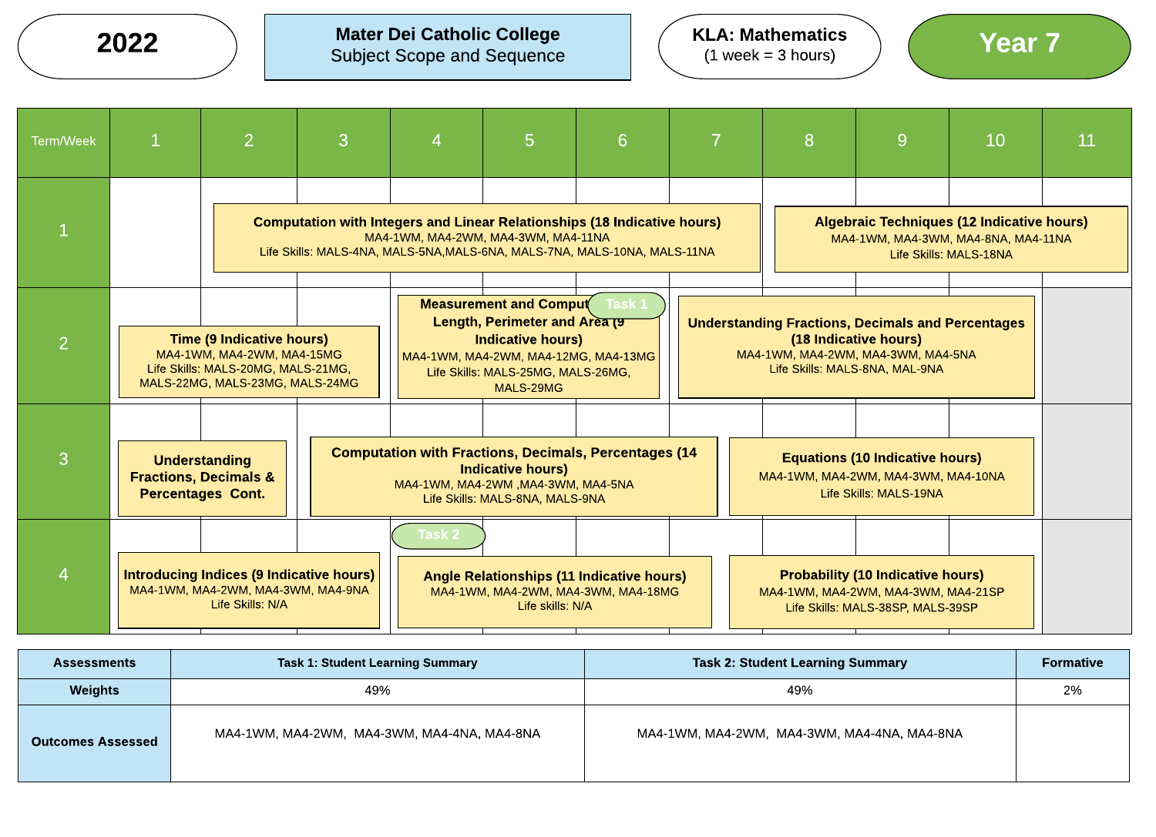KLA: Mathematics

 $(1$  week = 3 hours)

Mater Dei Catholic College  $2022$  ) Mater Dei Catholic College  $(1 \text{ week} = 3 \text{ hours})$   $(1 \text{ week} = 3 \text{ hours})$ 

| <b>Term/Week</b> | $\overline{2}$                                                                                            | 3                                                                                                                                                                                                                                                                                                                                                                                                                                                                                                              | 4    | 5 <sub>5</sub>                      | 6                                                                                                                                                            |  | 8                                   | 9                                                                                        | 10                     | 11 |
|------------------|-----------------------------------------------------------------------------------------------------------|----------------------------------------------------------------------------------------------------------------------------------------------------------------------------------------------------------------------------------------------------------------------------------------------------------------------------------------------------------------------------------------------------------------------------------------------------------------------------------------------------------------|------|-------------------------------------|--------------------------------------------------------------------------------------------------------------------------------------------------------------|--|-------------------------------------|------------------------------------------------------------------------------------------|------------------------|----|
|                  |                                                                                                           |                                                                                                                                                                                                                                                                                                                                                                                                                                                                                                                |      | MA4-1WM, MA4-2WM, MA4-3WM, MA4-11NA | <b>Computation with Integers and Linear Relationships (18 Indicative hours)</b><br>Life Skills: MALS-4NA, MALS-5NA, MALS-6NA, MALS-7NA, MALS-10NA, MALS-11NA |  |                                     | <b>Algebraic Techniques (12 Indicative hours)</b><br>MA4-1WM, MA4-3WM, MA4-8NA, MA4-11NA | Life Skills: MALS-18NA |    |
| $\overline{2}$   |                                                                                                           | <b>Measurement and Comput</b><br><b>Task 1</b><br>Length, Perimeter and Area (9<br><b>Understanding Fractions, Decimals and Percentages</b><br><b>Time (9 Indicative hours)</b><br><b>Indicative hours)</b><br>(18 Indicative hours)<br>MA4-1WM, MA4-2WM, MA4-15MG<br>MA4-1WM, MA4-2WM, MA4-3WM, MA4-5NA<br>MA4-1WM, MA4-2WM, MA4-12MG, MA4-13MG<br>Life Skills: MALS-20MG, MALS-21MG,<br>Life Skills: MALS-8NA, MAL-9NA<br>Life Skills: MALS-25MG, MALS-26MG,<br>MALS-22MG, MALS-23MG, MALS-24MG<br>MALS-29MG |      |                                     |                                                                                                                                                              |  |                                     |                                                                                          |                        |    |
| $\mathcal{S}$    | <b>Understanding</b><br><b>Fractions, Decimals &amp;</b><br><b>Percentages Cont.</b>                      | <b>Computation with Fractions, Decimals, Percentages (14</b><br><b>Equations (10 Indicative hours)</b><br><b>Indicative hours)</b><br>MA4-1WM, MA4-2WM, MA4-3WM, MA4-10NA<br>MA4-1WM, MA4-2WM, MA4-3WM, MA4-5NA<br>Life Skills: MALS-8NA, MALS-9NA                                                                                                                                                                                                                                                             |      |                                     |                                                                                                                                                              |  |                                     | Life Skills: MALS-19NA                                                                   |                        |    |
| $\overline{4}$   | <b>Introducing Indices (9 Indicative hours)</b><br>MA4-1WM, MA4-2WM, MA4-3WM, MA4-9NA<br>Life Skills: N/A |                                                                                                                                                                                                                                                                                                                                                                                                                                                                                                                | lask | Life skills: N/A                    | <b>Angle Relationships (11 Indicative hours)</b><br>MA4-1WM, MA4-2WM, MA4-3WM, MA4-18MG                                                                      |  | MA4-1WM, MA4-2WM, MA4-3WM, MA4-21SP | <b>Probability (10 Indicative hours)</b><br>Life Skills: MALS-38SP, MALS-39SP            |                        |    |

| <b>Assessments</b>       | <b>Task 1: Student Learning Summary</b>     | <b>Task 2: Student Learning Summary</b>     | <b>Formative</b> |
|--------------------------|---------------------------------------------|---------------------------------------------|------------------|
| <b>Weights</b>           | 49%                                         | 49%                                         | 2%               |
| <b>Outcomes Assessed</b> | MA4-1WM, MA4-2WM, MA4-3WM, MA4-4NA, MA4-8NA | MA4-1WM, MA4-2WM, MA4-3WM, MA4-4NA, MA4-8NA |                  |

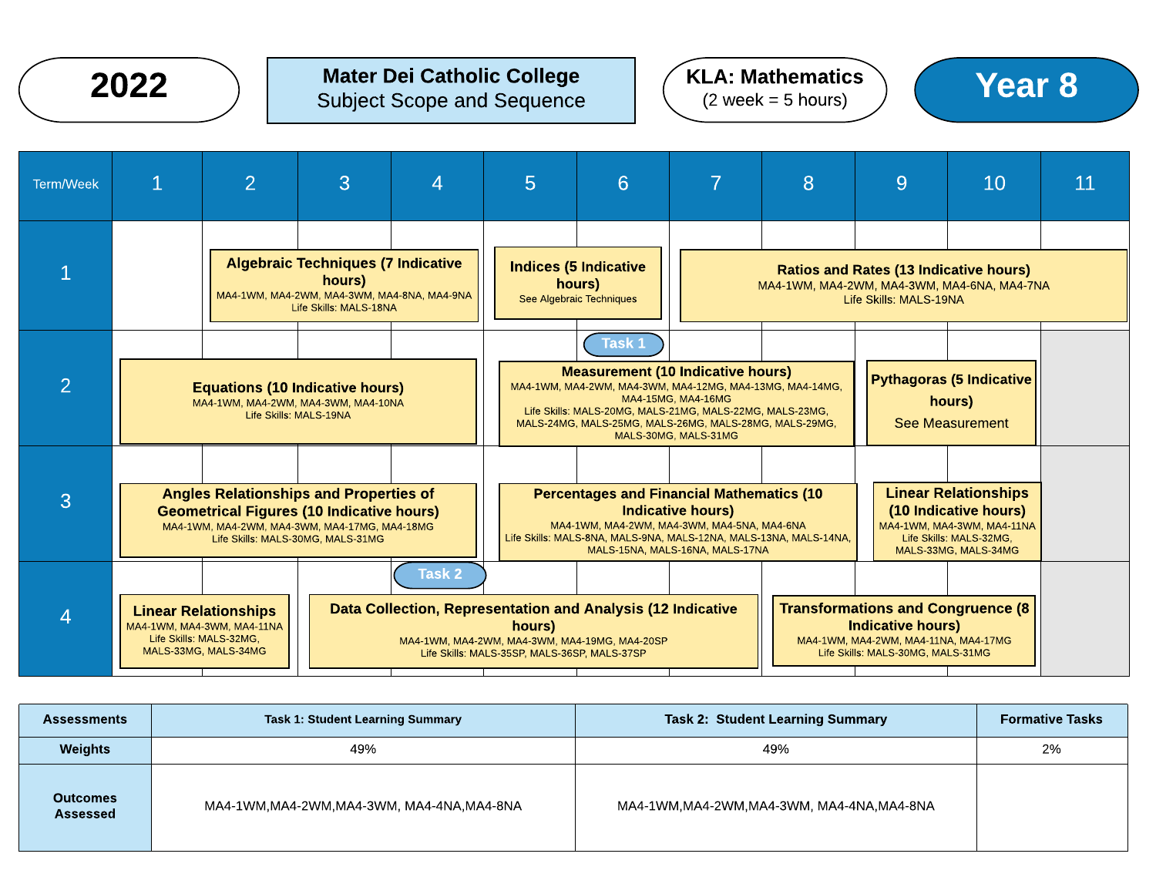## $2022$  ) Mater Dei Catholic College  $(2 \text{ week} = 5 \text{ hours})$  (Year 8) Subject Scope and Sequence

## KLA: Mathematics  $(2 \text{ week} = 5 \text{ hours})$



| <b>Assessments</b>          | <b>Task 1: Student Learning Summary</b>  | <b>Task 2: Student Learning Summary</b>  | <b>Formative Tasks</b> |
|-----------------------------|------------------------------------------|------------------------------------------|------------------------|
| <b>Weights</b>              | 49%                                      | 49%                                      | 2%                     |
| <b>Outcomes</b><br>Assessed | MA4-1WM,MA4-2WM,MA4-3WM, MA4-4NA,MA4-8NA | MA4-1WM,MA4-2WM,MA4-3WM, MA4-4NA,MA4-8NA |                        |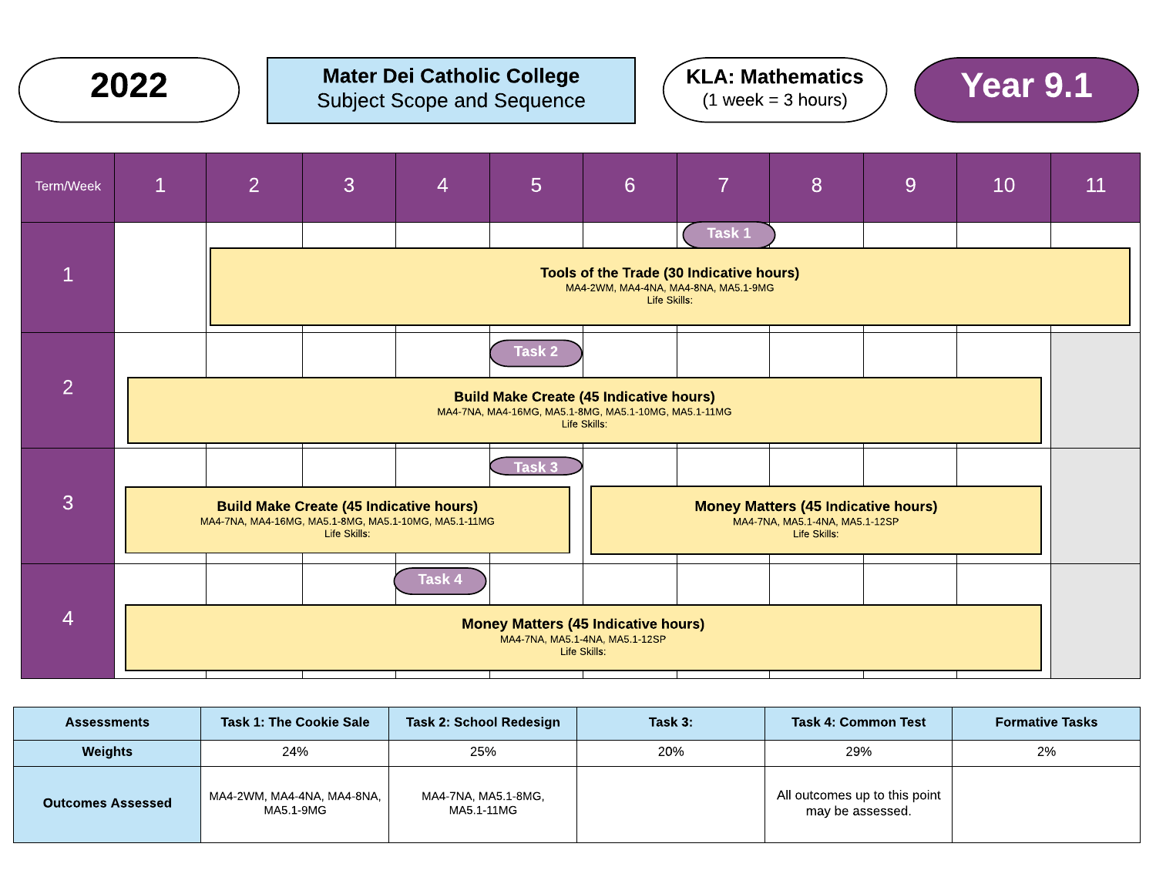

## $2022$  ) Mater Dei Catholic College  $(3.10)$  ( $(1.00)$   $(1.00)$   $(2.00)$   $(3.00)$   $(4.00)$   $(5.00)$   $(6.00)$   $(7.00)$   $(8.00)$   $(9.1)$   $(1.00)$   $(1.00)$   $(1.00)$   $(1.00)$   $(1.00)$   $(1.00)$   $(1.00)$   $(1.00)$   $(1.00)$   $(1.0$ Subject Scope and Sequence



| Term/Week      | $\mathbf{1}$                                                                                                                             | $\overline{2}$                                                                               | 3                                                              | 4      | 5      | $6\phantom{1}$ | $\overline{7}$ | 8                                                                                            | 9 | 10 | 11 |
|----------------|------------------------------------------------------------------------------------------------------------------------------------------|----------------------------------------------------------------------------------------------|----------------------------------------------------------------|--------|--------|----------------|----------------|----------------------------------------------------------------------------------------------|---|----|----|
|                | Task 1<br>Tools of the Trade (30 Indicative hours)                                                                                       |                                                                                              |                                                                |        |        |                |                |                                                                                              |   |    |    |
|                |                                                                                                                                          | MA4-2WM, MA4-4NA, MA4-8NA, MA5.1-9MG<br>Life Skills:                                         |                                                                |        |        |                |                |                                                                                              |   |    |    |
|                |                                                                                                                                          |                                                                                              |                                                                |        | Task 2 |                |                |                                                                                              |   |    |    |
|                | $\overline{2}$<br><b>Build Make Create (45 Indicative hours)</b><br>MA4-7NA, MA4-16MG, MA5.1-8MG, MA5.1-10MG, MA5.1-11MG<br>Life Skills: |                                                                                              |                                                                |        |        |                |                |                                                                                              |   |    |    |
|                |                                                                                                                                          |                                                                                              |                                                                |        | Task 3 |                |                |                                                                                              |   |    |    |
| 3              |                                                                                                                                          | MA4-7NA, MA4-16MG, MA5.1-8MG, MA5.1-10MG, MA5.1-11MG                                         | <b>Build Make Create (45 Indicative hours)</b><br>Life Skills: |        |        |                |                | <b>Money Matters (45 Indicative hours)</b><br>MA4-7NA, MA5.1-4NA, MA5.1-12SP<br>Life Skills: |   |    |    |
|                |                                                                                                                                          |                                                                                              |                                                                | Task 4 |        |                |                |                                                                                              |   |    |    |
| $\overline{4}$ |                                                                                                                                          | <b>Money Matters (45 Indicative hours)</b><br>MA4-7NA, MA5.1-4NA, MA5.1-12SP<br>Life Skills: |                                                                |        |        |                |                |                                                                                              |   |    |    |
|                |                                                                                                                                          |                                                                                              |                                                                |        |        |                |                |                                                                                              |   |    |    |

| <b>Assessments</b>       | <b>Task 1: The Cookie Sale</b>          | Task 2: School Redesign           | Task 3: | <b>Task 4: Common Test</b>                        | <b>Formative Tasks</b> |
|--------------------------|-----------------------------------------|-----------------------------------|---------|---------------------------------------------------|------------------------|
| <b>Weights</b>           | 24%                                     | 25%                               | 20%     | 29%                                               | 2%                     |
| <b>Outcomes Assessed</b> | MA4-2WM, MA4-4NA, MA4-8NA,<br>MA5.1-9MG | MA4-7NA, MA5.1-8MG,<br>MA5.1-11MG |         | All outcomes up to this point<br>may be assessed. |                        |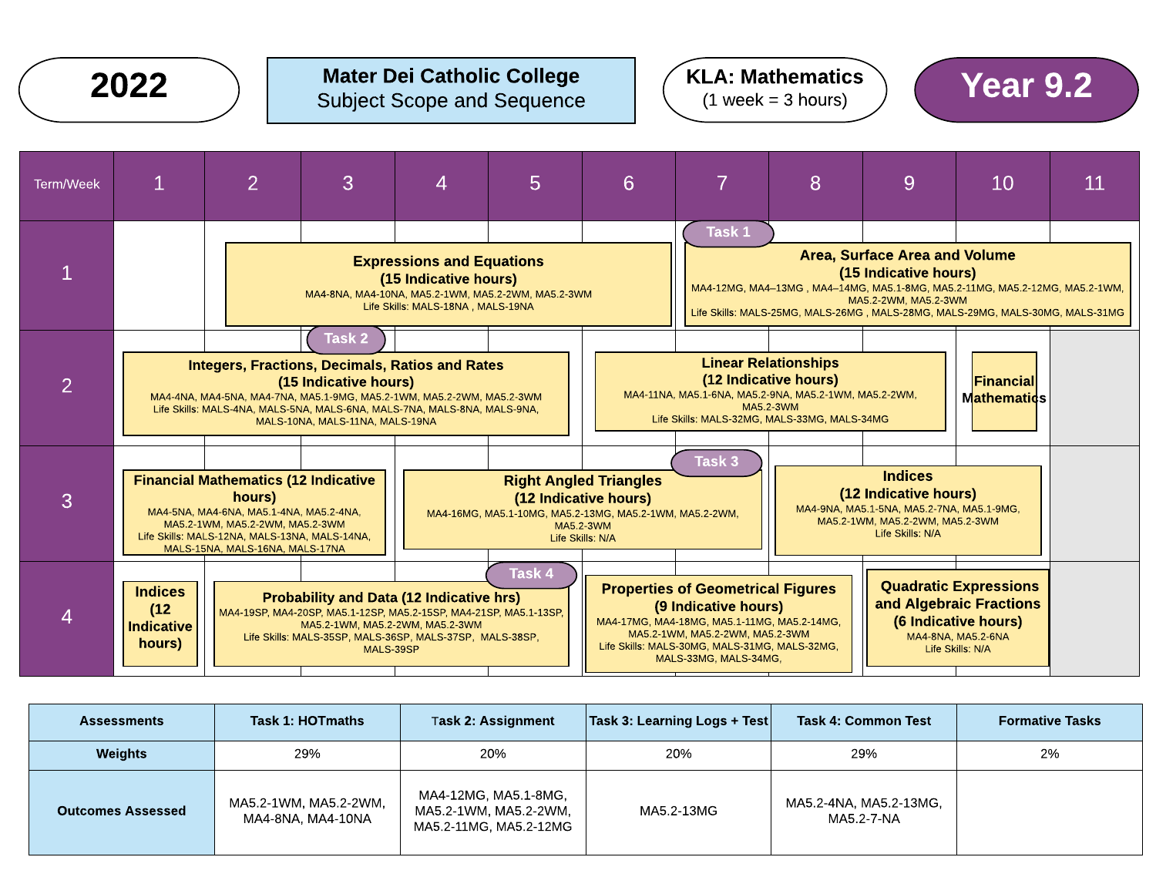### Mater Dei Catholic College Subject Scope and Sequence  $2022$  ) Mater Dei Catholic College  $(4 \text{ years})$  ( $\blacktriangle$   $Year 9.2$

## KLA: Mathematics  $(1$  week = 3 hours)



| <b>Assessments</b>       | Task 1: HOTmaths                           | <b>Task 2: Assignment</b>                                               | $\vert$ Task 3: Learning Logs + Test $\vert$ | <b>Task 4: Common Test</b>           | <b>Formative Tasks</b> |
|--------------------------|--------------------------------------------|-------------------------------------------------------------------------|----------------------------------------------|--------------------------------------|------------------------|
| <b>Weights</b>           | 29%                                        | 20%                                                                     | 20%                                          | 29%                                  | 2%                     |
| <b>Outcomes Assessed</b> | MA5.2-1WM, MA5.2-2WM,<br>MA4-8NA, MA4-10NA | MA4-12MG, MA5.1-8MG,<br>MA5.2-1WM, MA5.2-2WM,<br>MA5.2-11MG, MA5.2-12MG | MA5.2-13MG                                   | MA5.2-4NA, MA5.2-13MG,<br>MA5.2-7-NA |                        |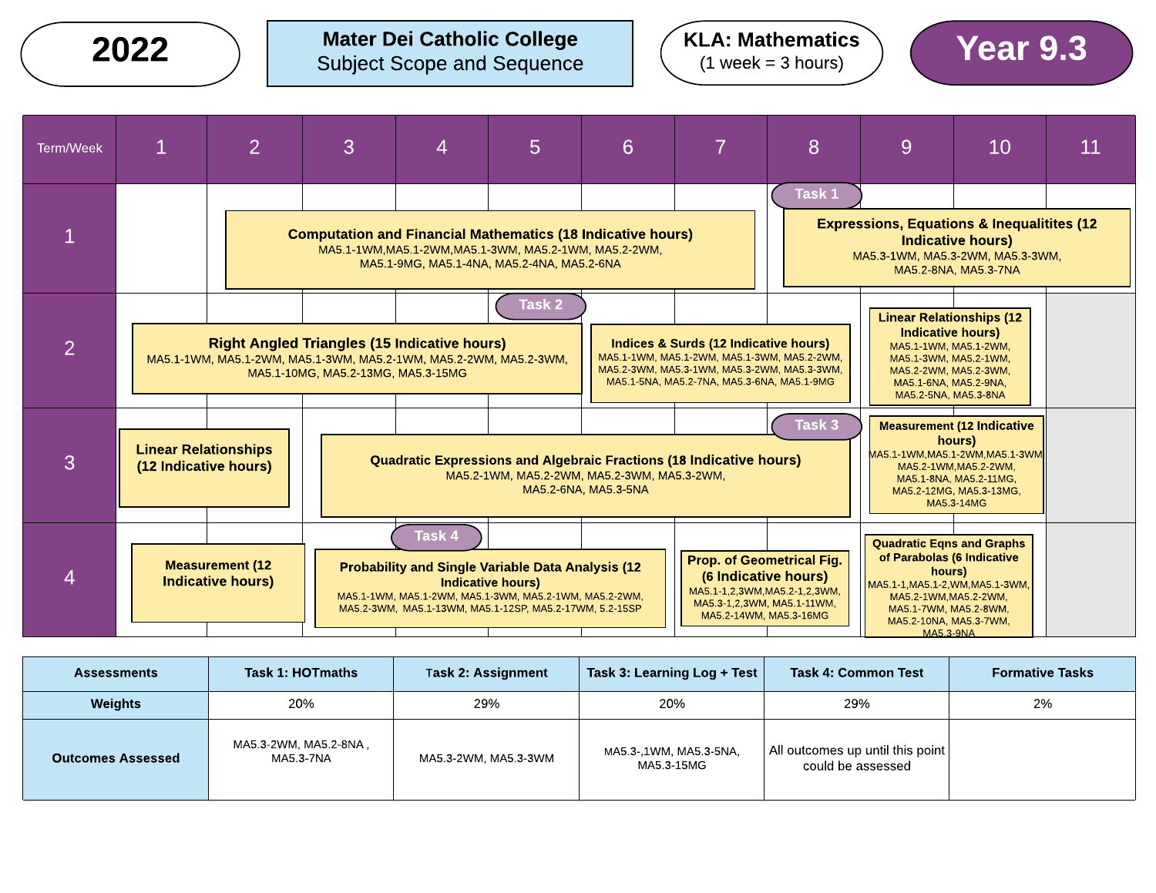Mater Dei Catholic College  $2022$  ) Mater Dei Catholic College  $(1 \text{ week} = 3 \text{ hours})$  (Year 9.3

KLA: Mathematics  $(1$  week = 3 hours)



| Task 1: HOTmaths<br><b>Assessments</b> |                                    | Task 2: Assignment   | Task 3: Learning Log + Test          | <b>Task 4: Common Test</b>                                          | <b>Formative Tasks</b> |
|----------------------------------------|------------------------------------|----------------------|--------------------------------------|---------------------------------------------------------------------|------------------------|
| Weights                                | 20%                                | 29%                  | 20%                                  | 29%                                                                 | 2%                     |
| <b>Outcomes Assessed</b>               | MA5.3-2WM, MA5.2-8NA,<br>MA5.3-7NA | MA5.3-2WM, MA5.3-3WM | MA5.3-,1WM, MA5.3-5NA,<br>MA5.3-15MG | $\mid$ All outcomes up until this point $\mid$<br>could be assessed |                        |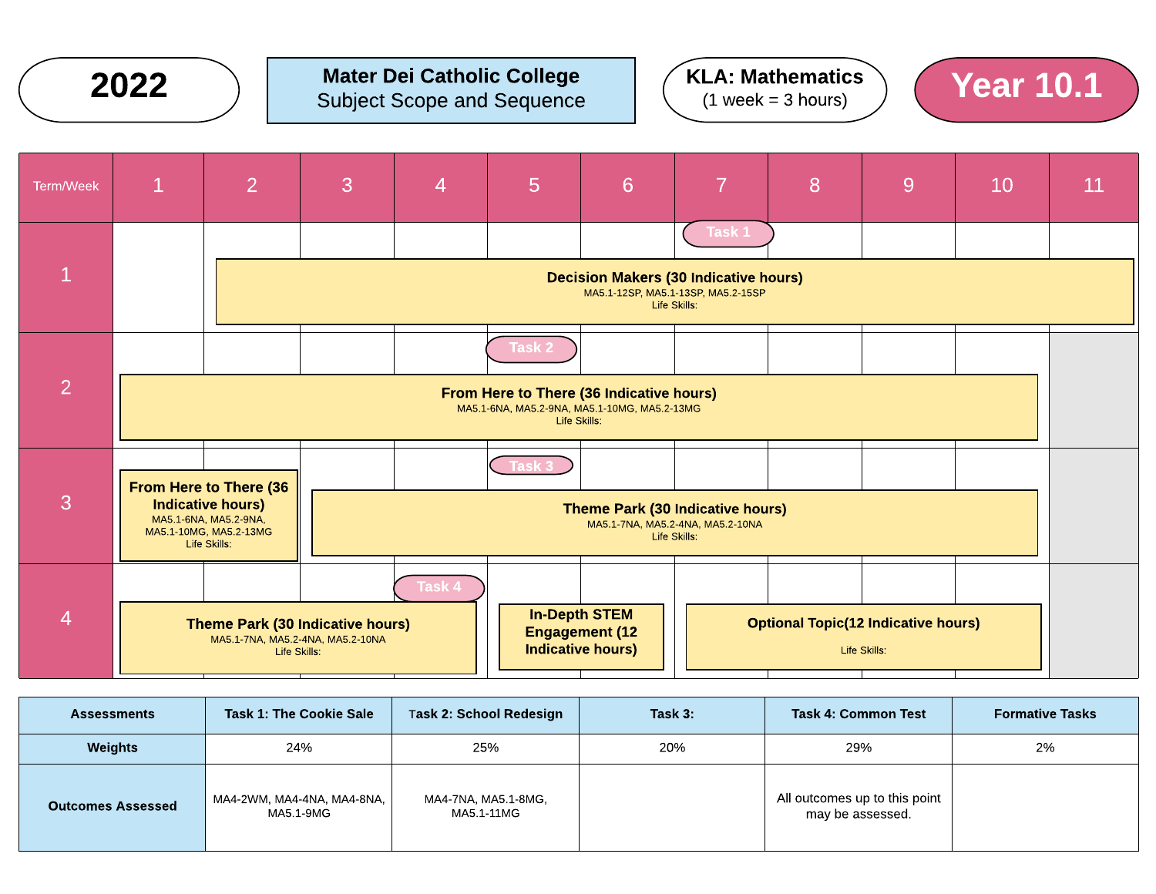

# **2022**  $\bigcirc$  Mater Dei Catholic College  $\bigcirc$  (KLA: Mathematics ) (Year 10.1







| <b>Assessments</b>       | <b>Task 1: The Cookie Sale</b>          | Task 2: School Redesign           | Task 3: | <b>Task 4: Common Test</b>                        | <b>Formative Tasks</b> |
|--------------------------|-----------------------------------------|-----------------------------------|---------|---------------------------------------------------|------------------------|
| Weights                  | 24%                                     | 25%                               | 20%     | 29%                                               | 2%                     |
| <b>Outcomes Assessed</b> | MA4-2WM, MA4-4NA, MA4-8NA,<br>MA5.1-9MG | MA4-7NA, MA5.1-8MG,<br>MA5.1-11MG |         | All outcomes up to this point<br>may be assessed. |                        |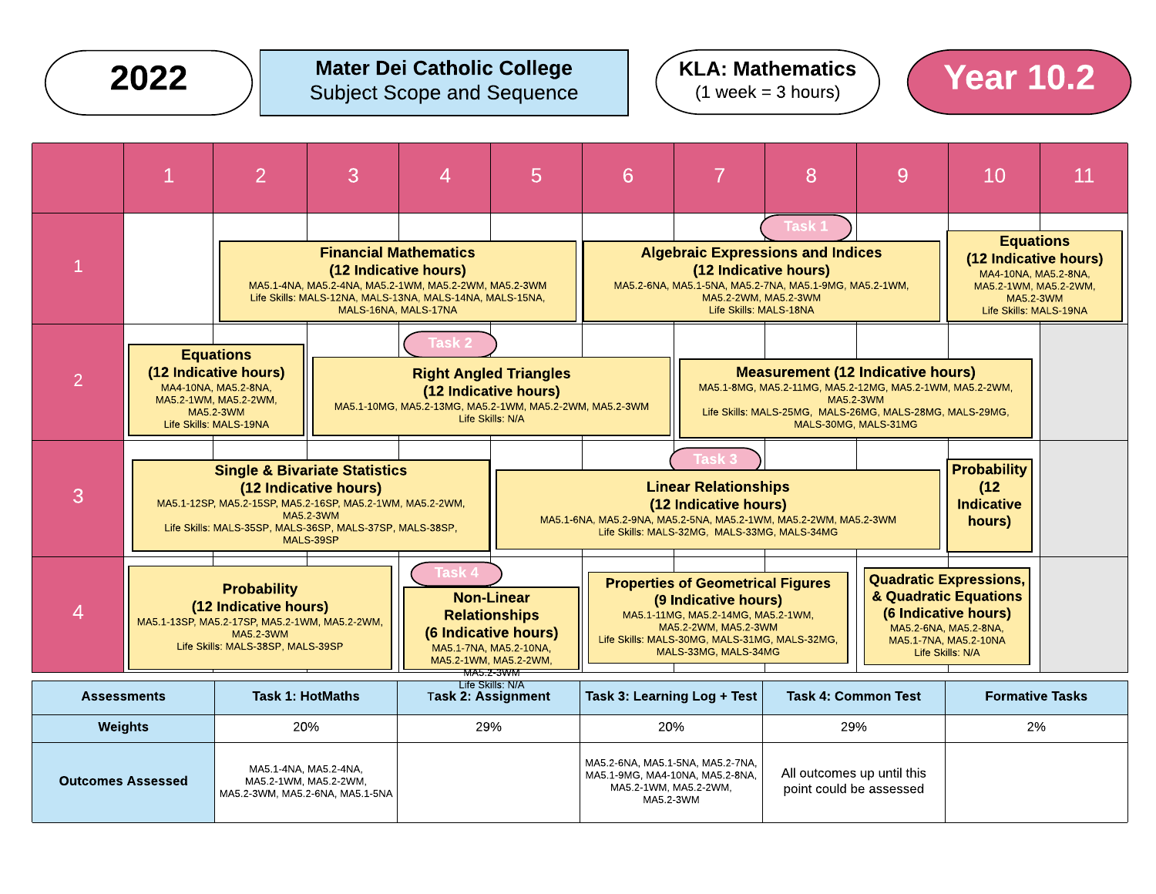### Mater Dei Catholic College Subject Scope and Sequence  $2022$   $\qquad$  Mater Dei Catholic College  $\qquad$  (KLA: Mathematics ) Year 10.2





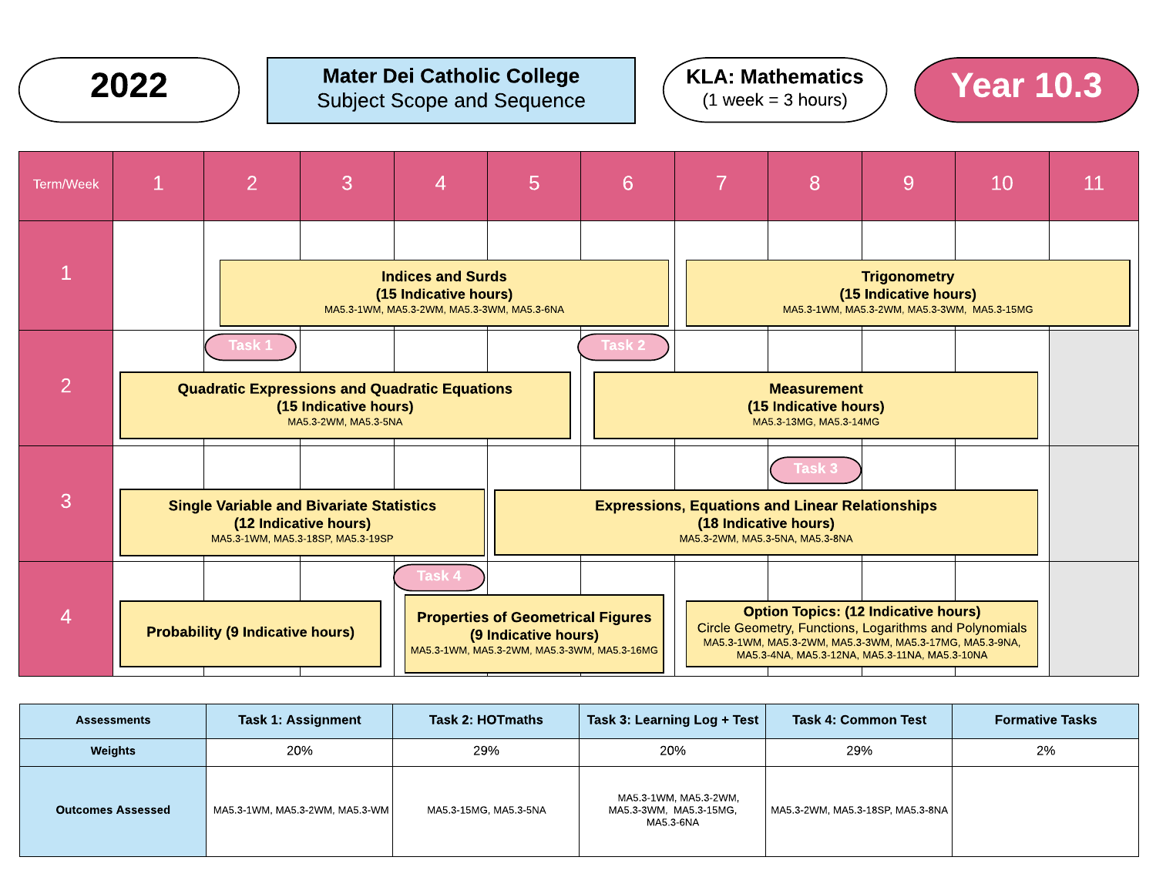

### Mater Dei Catholic College Subject Scope and Sequence 2022 Mater Dei Catholic College  $(4 \text{ Week} - 3 \text{ hours})$  Year 10.3







| <b>Assessments</b>       | <b>Task 1: Assignment</b>      | Task 2: HOTmaths      | Task 3: Learning Log + Test                                  | <b>Task 4: Common Test</b>       | <b>Formative Tasks</b> |
|--------------------------|--------------------------------|-----------------------|--------------------------------------------------------------|----------------------------------|------------------------|
| <b>Weights</b>           | 20%                            | 29%                   | 20%                                                          | 29%                              | 2%                     |
| <b>Outcomes Assessed</b> | MA5.3-1WM, MA5.3-2WM, MA5.3-WM | MA5.3-15MG, MA5.3-5NA | MA5.3-1WM, MA5.3-2WM,<br>MA5.3-3WM, MA5.3-15MG,<br>MA5.3-6NA | MA5.3-2WM, MA5.3-18SP, MA5.3-8NA |                        |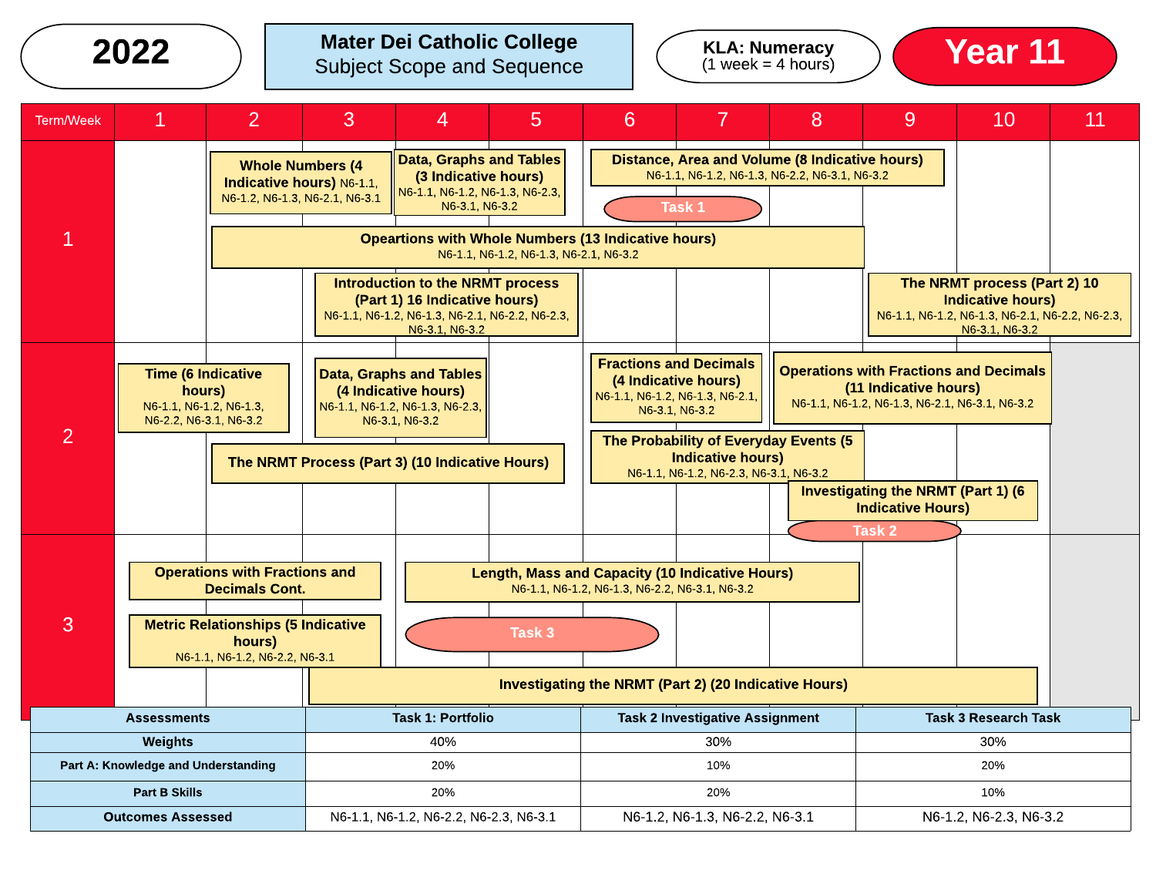# 2022 > Mater Dei Catholic College Subject Scope and Sequence  $\left(\begin{array}{c}$  KLA: Numeracy  $\left(\begin{array}{c}$  Year 11



| <b>Term/Week</b>                                                                       | 1                                                                                        | $\overline{2}$                                                                                                                                         | 3                                                        | 4                                                                                                                                                              | 5                                                                                                    | 6                                              | 7                                                                                                                                                                                                                         | 8 | 9                                                                                                                                                | 10                                                                                                                            | 11 |
|----------------------------------------------------------------------------------------|------------------------------------------------------------------------------------------|--------------------------------------------------------------------------------------------------------------------------------------------------------|----------------------------------------------------------|----------------------------------------------------------------------------------------------------------------------------------------------------------------|------------------------------------------------------------------------------------------------------|------------------------------------------------|---------------------------------------------------------------------------------------------------------------------------------------------------------------------------------------------------------------------------|---|--------------------------------------------------------------------------------------------------------------------------------------------------|-------------------------------------------------------------------------------------------------------------------------------|----|
| <b>Whole Numbers (4</b><br>Indicative hours) N6-1.1,<br>N6-1.2, N6-1.3, N6-2.1, N6-3.1 |                                                                                          |                                                                                                                                                        |                                                          |                                                                                                                                                                | Data, Graphs and Tables<br>(3 Indicative hours)<br>N6-1.1, N6-1.2, N6-1.3, N6-2.3,<br>N6-3.1, N6-3.2 |                                                | Distance, Area and Volume (8 Indicative hours)<br>N6-1.1, N6-1.2, N6-1.3, N6-2.2, N6-3.1, N6-3.2<br>Task 1                                                                                                                |   |                                                                                                                                                  |                                                                                                                               |    |
|                                                                                        |                                                                                          |                                                                                                                                                        |                                                          | <b>Opeartions with Whole Numbers (13 Indicative hours)</b>                                                                                                     | N6-1.1, N6-1.2, N6-1.3, N6-2.1, N6-3.2                                                               |                                                |                                                                                                                                                                                                                           |   |                                                                                                                                                  |                                                                                                                               |    |
|                                                                                        |                                                                                          |                                                                                                                                                        |                                                          | <b>Introduction to the NRMT process</b><br>(Part 1) 16 Indicative hours)<br>N6-1.1, N6-1.2, N6-1.3, N6-2.1, N6-2.2, N6-2.3,<br>N6-3.1, N6-3.2                  |                                                                                                      |                                                |                                                                                                                                                                                                                           |   |                                                                                                                                                  | The NRMT process (Part 2) 10<br><b>Indicative hours)</b><br>N6-1.1, N6-1.2, N6-1.3, N6-2.1, N6-2.2, N6-2.3,<br>N6-3.1, N6-3.2 |    |
| $\overline{2}$                                                                         | <b>Time (6 Indicative</b><br>hours)<br>N6-1.1, N6-1.2, N6-1.3,<br>N6-2.2, N6-3.1, N6-3.2 |                                                                                                                                                        |                                                          | <b>Data, Graphs and Tables</b><br>(4 Indicative hours)<br>N6-1.1, N6-1.2, N6-1.3, N6-2.3,<br>N6-3.1, N6-3.2<br>The NRMT Process (Part 3) (10 Indicative Hours) |                                                                                                      |                                                | <b>Fractions and Decimals</b><br>(4 Indicative hours)<br>N6-1.1, N6-1.2, N6-1.3, N6-2.1,<br>N6-3.1, N6-3.2<br>The Probability of Everyday Events (5<br><b>Indicative hours)</b><br>N6-1.1, N6-1.2, N6-2.3, N6-3.1, N6-3.2 |   | (11 Indicative hours)<br>N6-1.1, N6-1.2, N6-1.3, N6-2.1, N6-3.1, N6-3.2<br><b>Investigating the NRMT (Part 1) (6</b><br><b>Indicative Hours)</b> | <b>Operations with Fractions and Decimals</b>                                                                                 |    |
| 3                                                                                      |                                                                                          | <b>Operations with Fractions and</b><br><b>Decimals Cont.</b><br><b>Metric Relationships (5 Indicative</b><br>hours)<br>N6-1.1, N6-1.2, N6-2.2, N6-3.1 |                                                          |                                                                                                                                                                | Task 3                                                                                               | N6-1.1, N6-1.2, N6-1.3, N6-2.2, N6-3.1, N6-3.2 | <b>Length, Mass and Capacity (10 Indicative Hours)</b>                                                                                                                                                                    |   | Task <sub>2</sub>                                                                                                                                |                                                                                                                               |    |
|                                                                                        |                                                                                          |                                                                                                                                                        |                                                          |                                                                                                                                                                |                                                                                                      |                                                | Investigating the NRMT (Part 2) (20 Indicative Hours)                                                                                                                                                                     |   |                                                                                                                                                  |                                                                                                                               |    |
| <b>Task 1: Portfolio</b><br><b>Assessments</b>                                         |                                                                                          |                                                                                                                                                        |                                                          |                                                                                                                                                                | <b>Task 2 Investigative Assignment</b>                                                               |                                                |                                                                                                                                                                                                                           |   | <b>Task 3 Research Task</b>                                                                                                                      |                                                                                                                               |    |
|                                                                                        | Weights                                                                                  |                                                                                                                                                        |                                                          | 40%<br>20%                                                                                                                                                     |                                                                                                      | 30%<br>10%                                     |                                                                                                                                                                                                                           |   |                                                                                                                                                  | 30%<br>20%                                                                                                                    |    |
| Part A: Knowledge and Understanding<br><b>Part B Skills</b><br>20%                     |                                                                                          |                                                                                                                                                        |                                                          | 20%                                                                                                                                                            |                                                                                                      |                                                | 10%                                                                                                                                                                                                                       |   |                                                                                                                                                  |                                                                                                                               |    |
| N6-1.1, N6-1.2, N6-2.2, N6-2.3, N6-3.1<br><b>Outcomes Assessed</b>                     |                                                                                          |                                                                                                                                                        | N6-1.2, N6-1.3, N6-2.2, N6-3.1<br>N6-1.2, N6-2.3, N6-3.2 |                                                                                                                                                                |                                                                                                      |                                                |                                                                                                                                                                                                                           |   |                                                                                                                                                  |                                                                                                                               |    |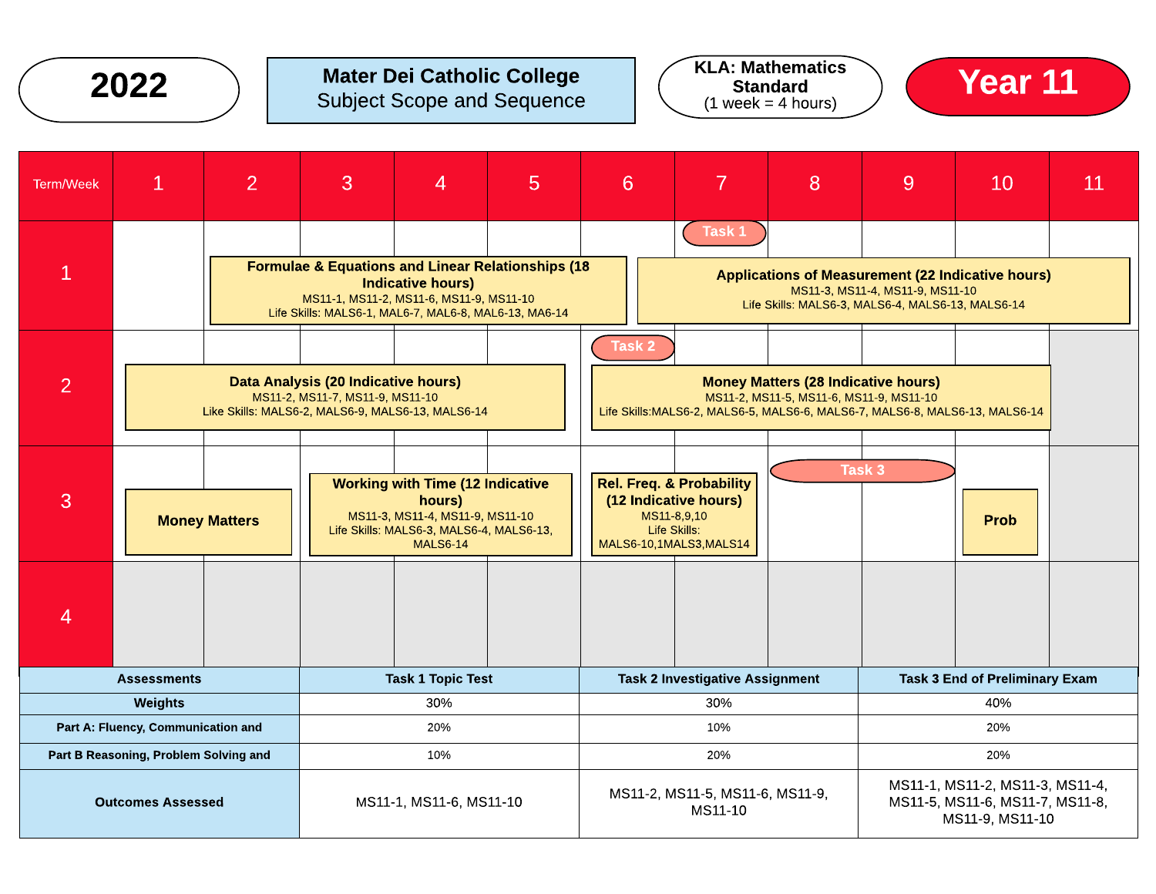| 2022                                                |                                                                                                                                                                                                                                                                                                                           | <b>Mater Dei Catholic College</b><br><b>Subject Scope and Sequence</b> |                                                                                                                       |                                                                     |                                                                                                                                     | <b>KLA: Mathematics</b><br><b>Standard</b><br>$(1 week = 4 hours)$                                                                                         |                                        |            | <b>Year 11</b> |   |                                       |    |
|-----------------------------------------------------|---------------------------------------------------------------------------------------------------------------------------------------------------------------------------------------------------------------------------------------------------------------------------------------------------------------------------|------------------------------------------------------------------------|-----------------------------------------------------------------------------------------------------------------------|---------------------------------------------------------------------|-------------------------------------------------------------------------------------------------------------------------------------|------------------------------------------------------------------------------------------------------------------------------------------------------------|----------------------------------------|------------|----------------|---|---------------------------------------|----|
| <b>Term/Week</b>                                    | $\mathbf{1}$                                                                                                                                                                                                                                                                                                              | 2                                                                      | 3                                                                                                                     | $\overline{4}$                                                      | 5                                                                                                                                   | 6                                                                                                                                                          |                                        | 7          | 8              | 9 | 10                                    | 11 |
| 1                                                   |                                                                                                                                                                                                                                                                                                                           |                                                                        | <b>Formulae &amp; Equations and Linear Relationships (18</b><br>Life Skills: MALS6-1, MAL6-7, MAL6-8, MAL6-13, MA6-14 | <b>Indicative hours)</b><br>MS11-1, MS11-2, MS11-6, MS11-9, MS11-10 |                                                                                                                                     | Task 1<br><b>Applications of Measurement (22 Indicative hours)</b><br>MS11-3, MS11-4, MS11-9, MS11-10<br>Life Skills: MALS6-3, MALS6-4, MALS6-13, MALS6-14 |                                        |            |                |   |                                       |    |
| $\overline{2}$                                      | Task <sub>2</sub><br>Data Analysis (20 Indicative hours)<br><b>Money Matters (28 Indicative hours)</b><br>MS11-2, MS11-7, MS11-9, MS11-10<br>MS11-2, MS11-5, MS11-6, MS11-9, MS11-10<br>Like Skills: MALS6-2, MALS6-9, MALS6-13, MALS6-14<br>Life Skills: MALS6-2, MALS6-5, MALS6-6, MALS6-7, MALS6-8, MALS6-13, MALS6-14 |                                                                        |                                                                                                                       |                                                                     |                                                                                                                                     |                                                                                                                                                            |                                        |            |                |   |                                       |    |
| 3                                                   | <b>Working with Time (12 Indicative</b><br>hours)<br>MS11-3, MS11-4, MS11-9, MS11-10<br><b>Money Matters</b><br>Life Skills: MALS6-3, MALS6-4, MALS6-13,<br><b>MALS6-14</b>                                                                                                                                               |                                                                        |                                                                                                                       |                                                                     |                                                                                                                                     | Task 3<br><b>Rel. Freq. &amp; Probability</b><br>(12 Indicative hours)<br>MS11-8,9,10<br><b>Prob</b><br><b>Life Skills:</b><br>MALS6-10,1MALS3,MALS14      |                                        |            |                |   |                                       |    |
| 4                                                   |                                                                                                                                                                                                                                                                                                                           |                                                                        |                                                                                                                       |                                                                     |                                                                                                                                     |                                                                                                                                                            |                                        |            |                |   |                                       |    |
|                                                     | <b>Assessments</b>                                                                                                                                                                                                                                                                                                        |                                                                        |                                                                                                                       | <b>Task 1 Topic Test</b>                                            |                                                                                                                                     |                                                                                                                                                            | <b>Task 2 Investigative Assignment</b> |            |                |   | <b>Task 3 End of Preliminary Exam</b> |    |
|                                                     | <b>Weights</b><br>Part A: Fluency, Communication and                                                                                                                                                                                                                                                                      |                                                                        |                                                                                                                       | 30%<br>20%                                                          |                                                                                                                                     |                                                                                                                                                            |                                        | 30%<br>10% |                |   | 40%<br>20%                            |    |
|                                                     | Part B Reasoning, Problem Solving and<br>10%                                                                                                                                                                                                                                                                              |                                                                        |                                                                                                                       |                                                                     | 20%<br>20%                                                                                                                          |                                                                                                                                                            |                                        |            |                |   |                                       |    |
| <b>Outcomes Assessed</b><br>MS11-1, MS11-6, MS11-10 |                                                                                                                                                                                                                                                                                                                           |                                                                        |                                                                                                                       |                                                                     | MS11-1, MS11-2, MS11-3, MS11-4,<br>MS11-2, MS11-5, MS11-6, MS11-9,<br>MS11-5, MS11-6, MS11-7, MS11-8,<br>MS11-10<br>MS11-9, MS11-10 |                                                                                                                                                            |                                        |            |                |   |                                       |    |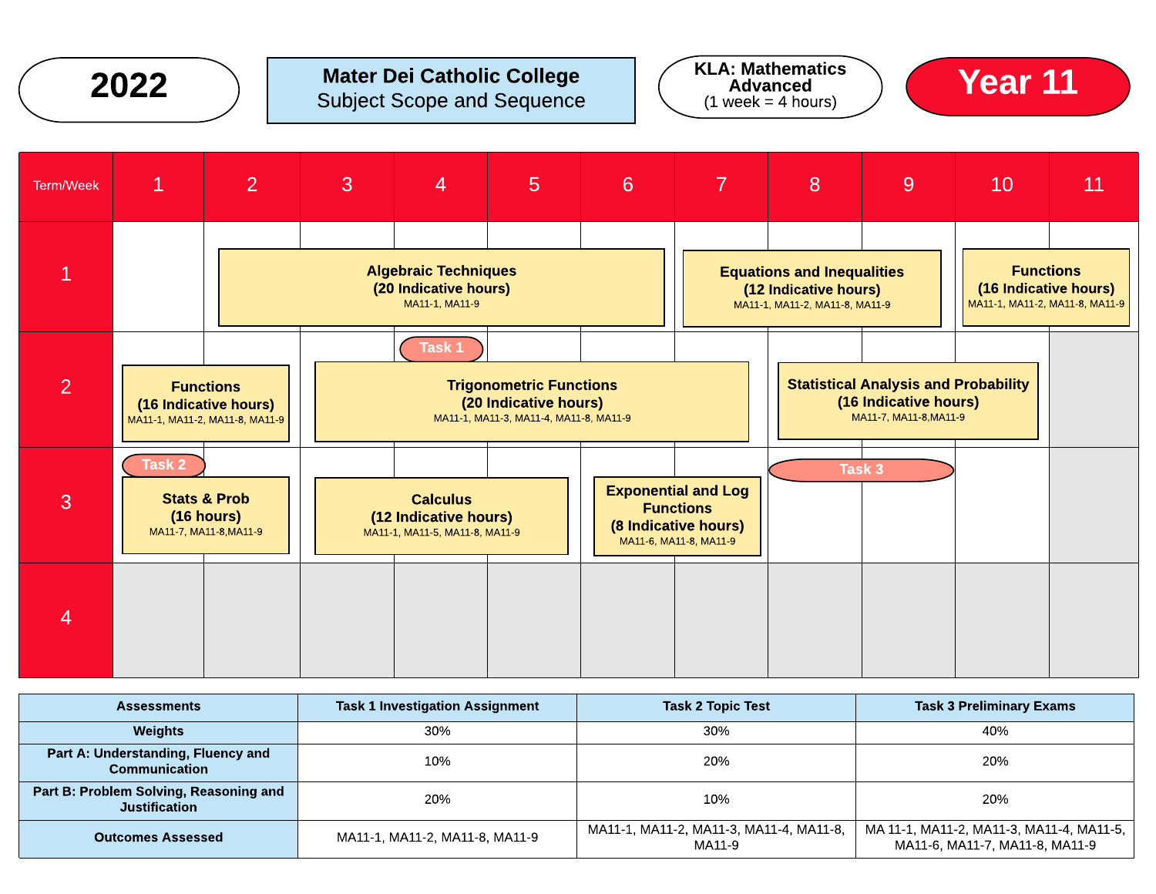## Mater Dei Catholic College **2022**  $\bigcirc$  Mater Dei Catholic College  $\bigcirc$  KLA: Mathematics  $\bigcirc$  **Year 11**







| <b>Assessments</b>                                             | <b>Task 1 Investigation Assignment</b> | <b>Task 2 Topic Test</b>                          | <b>Task 3 Preliminary Exams</b>                                            |  |  |
|----------------------------------------------------------------|----------------------------------------|---------------------------------------------------|----------------------------------------------------------------------------|--|--|
| <b>Weights</b>                                                 | 30%                                    | 30%                                               | 40%                                                                        |  |  |
| Part A: Understanding, Fluency and<br>Communication            | 10%                                    | 20%                                               | 20%                                                                        |  |  |
| Part B: Problem Solving, Reasoning and<br><b>Justification</b> | 20%                                    | 10%                                               | 20%                                                                        |  |  |
| <b>Outcomes Assessed</b>                                       | MA11-1, MA11-2, MA11-8, MA11-9         | MA11-1, MA11-2, MA11-3, MA11-4, MA11-8,<br>MA11-9 | MA 11-1, MA11-2, MA11-3, MA11-4, MA11-5,<br>MA11-6, MA11-7, MA11-8, MA11-9 |  |  |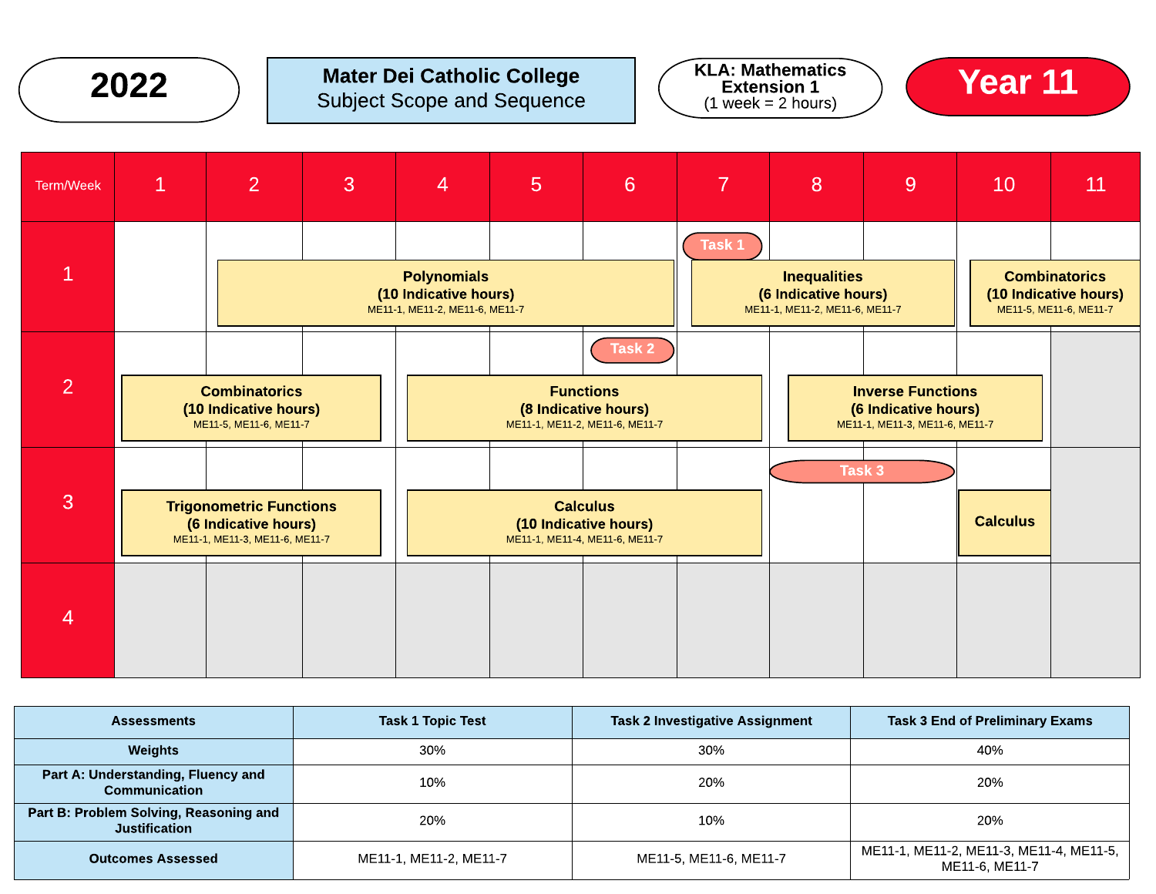## Mater Dei Catholic College **2022**  $\bigcirc$  Mater Dei Catholic College  $\bigcirc$  KLA: Mathematics  $\bigcirc$  **Year 11**







| <b>Assessments</b>                                             | <b>Task 1 Topic Test</b> | <b>Task 2 Investigative Assignment</b> | <b>Task 3 End of Preliminary Exams</b>                    |  |  |
|----------------------------------------------------------------|--------------------------|----------------------------------------|-----------------------------------------------------------|--|--|
| Weights                                                        | 30%                      | 30%                                    | 40%                                                       |  |  |
| Part A: Understanding, Fluency and<br>Communication            | 10%                      | 20%                                    | 20%                                                       |  |  |
| Part B: Problem Solving, Reasoning and<br><b>Justification</b> | 20%                      | 10%                                    | 20%                                                       |  |  |
| <b>Outcomes Assessed</b>                                       | ME11-1, ME11-2, ME11-7   | ME11-5, ME11-6, ME11-7                 | ME11-1, ME11-2, ME11-3, ME11-4, ME11-5,<br>ME11-6. ME11-7 |  |  |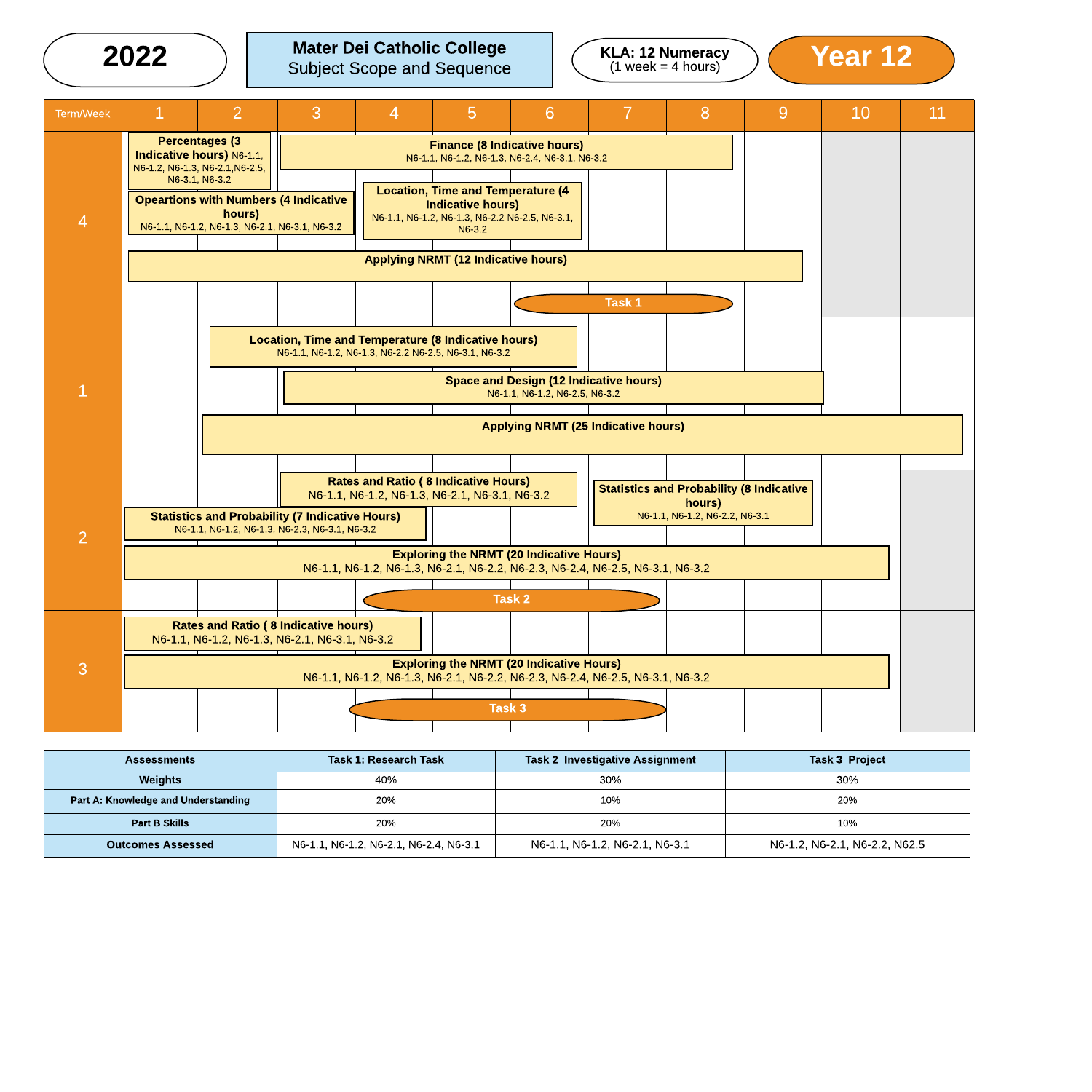

| <b>Assessments</b>                         | <b>Task 1: Research Task</b>           | <b>Task 2 Investigative Assignment</b> | <b>Task 3 Project</b>         |  |  |
|--------------------------------------------|----------------------------------------|----------------------------------------|-------------------------------|--|--|
| <b>Weights</b>                             | 40%                                    | 30%                                    | 30%                           |  |  |
| <b>Part A: Knowledge and Understanding</b> | 20%                                    | 10%                                    | 20%                           |  |  |
| <b>Part B Skills</b>                       | 20%                                    | 20%                                    | 10%                           |  |  |
| <b>Outcomes Assessed</b>                   | N6-1.1, N6-1.2, N6-2.1, N6-2.4, N6-3.1 | N6-1.1, N6-1.2, N6-2.1, N6-3.1         | N6-1.2, N6-2.1, N6-2.2, N62.5 |  |  |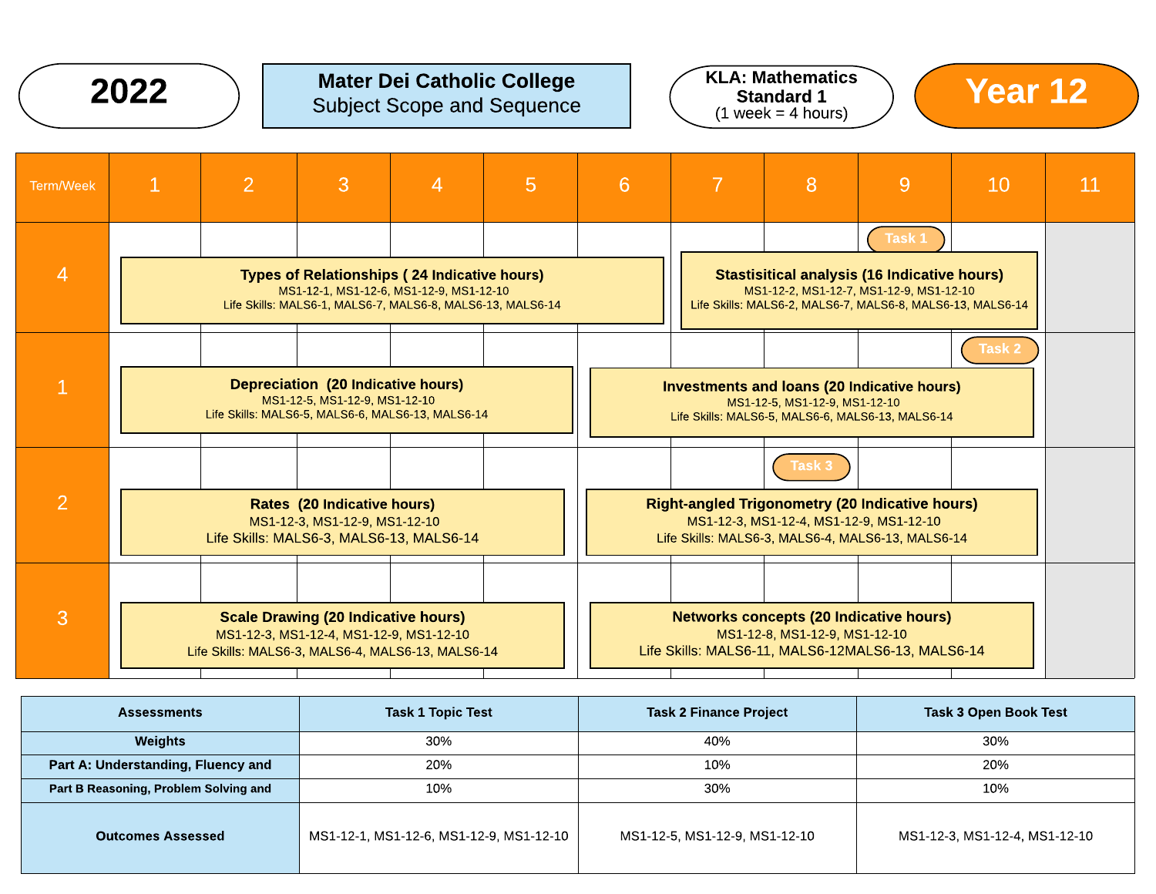

# $2022$  ) Mater Dei Catholic College  $\sim$  KLA: Mathematics  $\sim$  Year 12 Subject Scope and Sequence



| <b>Term/Week</b> | $\mathbf{1}$                                                                                                                                                 | $\overline{2}$                                    | 3                                                                                     | $\overline{4}$ | 5 <sup>5</sup> | 6 | $\overline{7}$                                                                                                                                                   | 8                                                                                                                                                            | 9 | <b>10</b> | 11 |
|------------------|--------------------------------------------------------------------------------------------------------------------------------------------------------------|---------------------------------------------------|---------------------------------------------------------------------------------------|----------------|----------------|---|------------------------------------------------------------------------------------------------------------------------------------------------------------------|--------------------------------------------------------------------------------------------------------------------------------------------------------------|---|-----------|----|
| $\overline{4}$   | <b>Types of Relationships (24 Indicative hours)</b><br>MS1-12-1, MS1-12-6, MS1-12-9, MS1-12-10<br>Life Skills: MALS6-1, MALS6-7, MALS6-8, MALS6-13, MALS6-14 |                                                   |                                                                                       |                |                |   |                                                                                                                                                                  | <b>Stastisitical analysis (16 Indicative hours)</b><br>MS1-12-2, MS1-12-7, MS1-12-9, MS1-12-10<br>Life Skills: MALS6-2, MALS6-7, MALS6-8, MALS6-13, MALS6-14 |   |           |    |
|                  | <b>Depreciation (20 Indicative hours)</b><br>MS1-12-5, MS1-12-9, MS1-12-10<br>Life Skills: MALS6-5, MALS6-6, MALS6-13, MALS6-14                              |                                                   |                                                                                       |                |                |   |                                                                                                                                                                  | <b>Investments and loans (20 Indicative hours)</b><br>MS1-12-5, MS1-12-9, MS1-12-10<br>Life Skills: MALS6-5, MALS6-6, MALS6-13, MALS6-14                     |   | Task 2    |    |
| $\overline{2}$   | <b>Rates (20 Indicative hours)</b><br>MS1-12-3, MS1-12-9, MS1-12-10<br>Life Skills: MALS6-3, MALS6-13, MALS6-14                                              |                                                   |                                                                                       |                |                |   | Task 3<br><b>Right-angled Trigonometry (20 Indicative hours)</b><br>MS1-12-3, MS1-12-4, MS1-12-9, MS1-12-10<br>Life Skills: MALS6-3, MALS6-4, MALS6-13, MALS6-14 |                                                                                                                                                              |   |           |    |
| 3                |                                                                                                                                                              | Life Skills: MALS6-3, MALS6-4, MALS6-13, MALS6-14 | <b>Scale Drawing (20 Indicative hours)</b><br>MS1-12-3, MS1-12-4, MS1-12-9, MS1-12-10 |                |                |   |                                                                                                                                                                  | <b>Networks concepts (20 Indicative hours)</b><br>MS1-12-8, MS1-12-9, MS1-12-10<br>Life Skills: MALS6-11, MALS6-12MALS6-13, MALS6-14                         |   |           |    |

| <b>Task 1 Topic Test</b><br><b>Assessments</b> |                                         | <b>Task 2 Finance Project</b> | <b>Task 3 Open Book Test</b>  |  |  |
|------------------------------------------------|-----------------------------------------|-------------------------------|-------------------------------|--|--|
| Weights                                        | 30%                                     | 40%                           | 30%                           |  |  |
| Part A: Understanding, Fluency and             | 20%                                     |                               | 20%                           |  |  |
| Part B Reasoning, Problem Solving and          | 10%                                     | 30%                           | 10%                           |  |  |
| <b>Outcomes Assessed</b>                       | MS1-12-1, MS1-12-6, MS1-12-9, MS1-12-10 | MS1-12-5, MS1-12-9, MS1-12-10 | MS1-12-3, MS1-12-4, MS1-12-10 |  |  |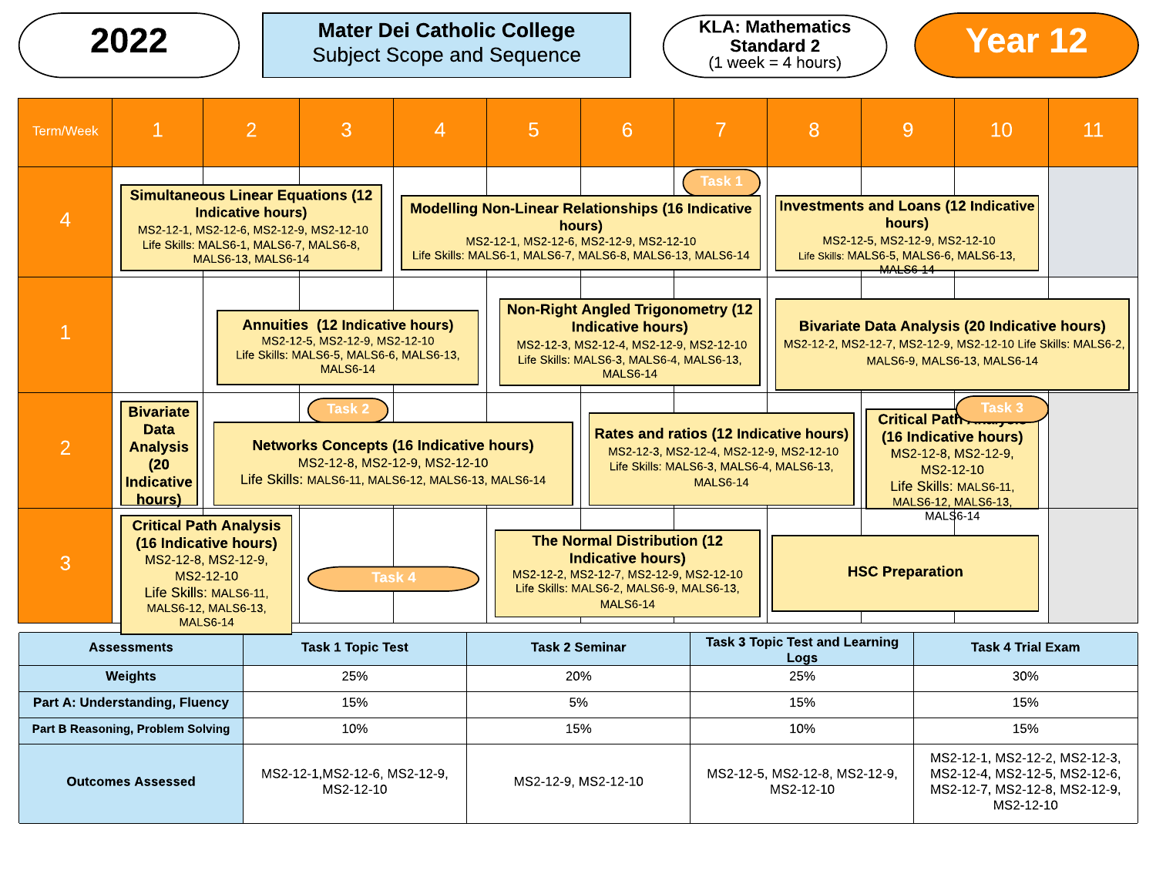## Mater Dei Catholic College Subject Scope and Sequence  $2022$  ) Mater Dei Catholic College  $($  KLA: Mathematics  $)$  (Year 12



| Term/Week                                                                                                                                                                                                 | $\mathbf{1}$                                                                                                                                                                                                                                                                                                                                                                                                                                                                                                                               | $\overline{2}$                                                                                                                                                 | 3                                                                                                                                      | $\overline{4}$                                                                                                                                                                        | 5 | 6                                                                                                                                                                              |                                                                                                                                                | 8                                             | 9                                                                                                            | 10                                                                                                                                                   | 11 |
|-----------------------------------------------------------------------------------------------------------------------------------------------------------------------------------------------------------|--------------------------------------------------------------------------------------------------------------------------------------------------------------------------------------------------------------------------------------------------------------------------------------------------------------------------------------------------------------------------------------------------------------------------------------------------------------------------------------------------------------------------------------------|----------------------------------------------------------------------------------------------------------------------------------------------------------------|----------------------------------------------------------------------------------------------------------------------------------------|---------------------------------------------------------------------------------------------------------------------------------------------------------------------------------------|---|--------------------------------------------------------------------------------------------------------------------------------------------------------------------------------|------------------------------------------------------------------------------------------------------------------------------------------------|-----------------------------------------------|--------------------------------------------------------------------------------------------------------------|------------------------------------------------------------------------------------------------------------------------------------------------------|----|
| <b>Simultaneous Linear Equations (12</b><br><b>Indicative hours)</b><br>$\overline{4}$<br>MS2-12-1, MS2-12-6, MS2-12-9, MS2-12-10<br>Life Skills: MALS6-1, MALS6-7, MALS6-8,<br><b>MALS6-13, MALS6-14</b> |                                                                                                                                                                                                                                                                                                                                                                                                                                                                                                                                            |                                                                                                                                                                |                                                                                                                                        | Task 1<br><b>Modelling Non-Linear Relationships (16 Indicative</b><br>hours)<br>MS2-12-1, MS2-12-6, MS2-12-9, MS2-12-10<br>Life Skills: MALS6-1, MALS6-7, MALS6-8, MALS6-13, MALS6-14 |   |                                                                                                                                                                                | <b>Investments and Loans (12 Indicative</b><br>hours)<br>MS2-12-5, MS2-12-9, MS2-12-10<br>Life Skills: MALS6-5, MALS6-6, MALS6-13,<br>MALS6-14 |                                               |                                                                                                              |                                                                                                                                                      |    |
|                                                                                                                                                                                                           |                                                                                                                                                                                                                                                                                                                                                                                                                                                                                                                                            |                                                                                                                                                                | <b>Annuities (12 Indicative hours)</b><br>MS2-12-5. MS2-12-9. MS2-12-10<br>Life Skills: MALS6-5, MALS6-6, MALS6-13,<br><b>MALS6-14</b> |                                                                                                                                                                                       |   | <b>Non-Right Angled Trigonometry (12</b><br><b>Indicative hours)</b><br>MS2-12-3, MS2-12-4, MS2-12-9, MS2-12-10<br>Life Skills: MALS6-3, MALS6-4, MALS6-13,<br><b>MALS6-14</b> |                                                                                                                                                |                                               |                                                                                                              | <b>Bivariate Data Analysis (20 Indicative hours)</b><br>MS2-12-2, MS2-12-7, MS2-12-9, MS2-12-10 Life Skills: MALS6-2,<br>MALS6-9, MALS6-13, MALS6-14 |    |
| $\overline{2}$                                                                                                                                                                                            | Task 2<br>Task 3<br><b>Bivariate</b><br>Critical Path<br>Data<br><b>Rates and ratios (12 Indicative hours)</b><br>(16 Indicative hours)<br><b>Networks Concepts (16 Indicative hours)</b><br><b>Analysis</b><br>MS2-12-3, MS2-12-4, MS2-12-9, MS2-12-10<br>MS2-12-8, MS2-12-9,<br>MS2-12-8, MS2-12-9, MS2-12-10<br>(20)<br>Life Skills: MALS6-3, MALS6-4, MALS6-13,<br>MS2-12-10<br>Life Skills: MALS6-11, MALS6-12, MALS6-13, MALS6-14<br><b>Indicative</b><br><b>MALS6-14</b><br>Life Skills: MALS6-11.<br>hours)<br>MALS6-12, MALS6-13, |                                                                                                                                                                |                                                                                                                                        |                                                                                                                                                                                       |   |                                                                                                                                                                                |                                                                                                                                                |                                               |                                                                                                              |                                                                                                                                                      |    |
| 3                                                                                                                                                                                                         |                                                                                                                                                                                                                                                                                                                                                                                                                                                                                                                                            | <b>Critical Path Analysis</b><br>(16 Indicative hours)<br>MS2-12-8, MS2-12-9,<br>MS2-12-10<br>Life Skills: MALS6-11,<br>MALS6-12, MALS6-13,<br><b>MALS6-14</b> | Task 4                                                                                                                                 |                                                                                                                                                                                       |   | <b>The Normal Distribution (12</b><br><b>Indicative hours)</b><br>MS2-12-2, MS2-12-7, MS2-12-9, MS2-12-10<br>Life Skills: MALS6-2, MALS6-9, MALS6-13,<br><b>MALS6-14</b>       |                                                                                                                                                |                                               | <b>HSC Preparation</b>                                                                                       | MALS6-14                                                                                                                                             |    |
|                                                                                                                                                                                                           | <b>Assessments</b>                                                                                                                                                                                                                                                                                                                                                                                                                                                                                                                         |                                                                                                                                                                | <b>Task 1 Topic Test</b>                                                                                                               |                                                                                                                                                                                       |   | <b>Task 2 Seminar</b>                                                                                                                                                          |                                                                                                                                                | <b>Task 3 Topic Test and Learning</b><br>Logs |                                                                                                              | <b>Task 4 Trial Exam</b>                                                                                                                             |    |
|                                                                                                                                                                                                           | Weights                                                                                                                                                                                                                                                                                                                                                                                                                                                                                                                                    | 25%                                                                                                                                                            |                                                                                                                                        |                                                                                                                                                                                       |   | 20%                                                                                                                                                                            |                                                                                                                                                | 25%                                           |                                                                                                              | 30%                                                                                                                                                  |    |
|                                                                                                                                                                                                           |                                                                                                                                                                                                                                                                                                                                                                                                                                                                                                                                            | <b>Part A: Understanding, Fluency</b><br>15%                                                                                                                   |                                                                                                                                        |                                                                                                                                                                                       |   | 5%                                                                                                                                                                             |                                                                                                                                                | 15%<br>10%                                    |                                                                                                              | 15%<br>15%                                                                                                                                           |    |
|                                                                                                                                                                                                           | <b>Part B Reasoning, Problem Solving</b><br>10%<br>MS2-12-1, MS2-12-6, MS2-12-9,<br><b>Outcomes Assessed</b><br>MS2-12-10                                                                                                                                                                                                                                                                                                                                                                                                                  |                                                                                                                                                                |                                                                                                                                        | 15%<br>MS2-12-9, MS2-12-10                                                                                                                                                            |   |                                                                                                                                                                                | MS2-12-5, MS2-12-8, MS2-12-9,<br>MS2-12-10                                                                                                     |                                               | MS2-12-1, MS2-12-2, MS2-12-3,<br>MS2-12-4, MS2-12-5, MS2-12-6,<br>MS2-12-7, MS2-12-8, MS2-12-9,<br>MS2-12-10 |                                                                                                                                                      |    |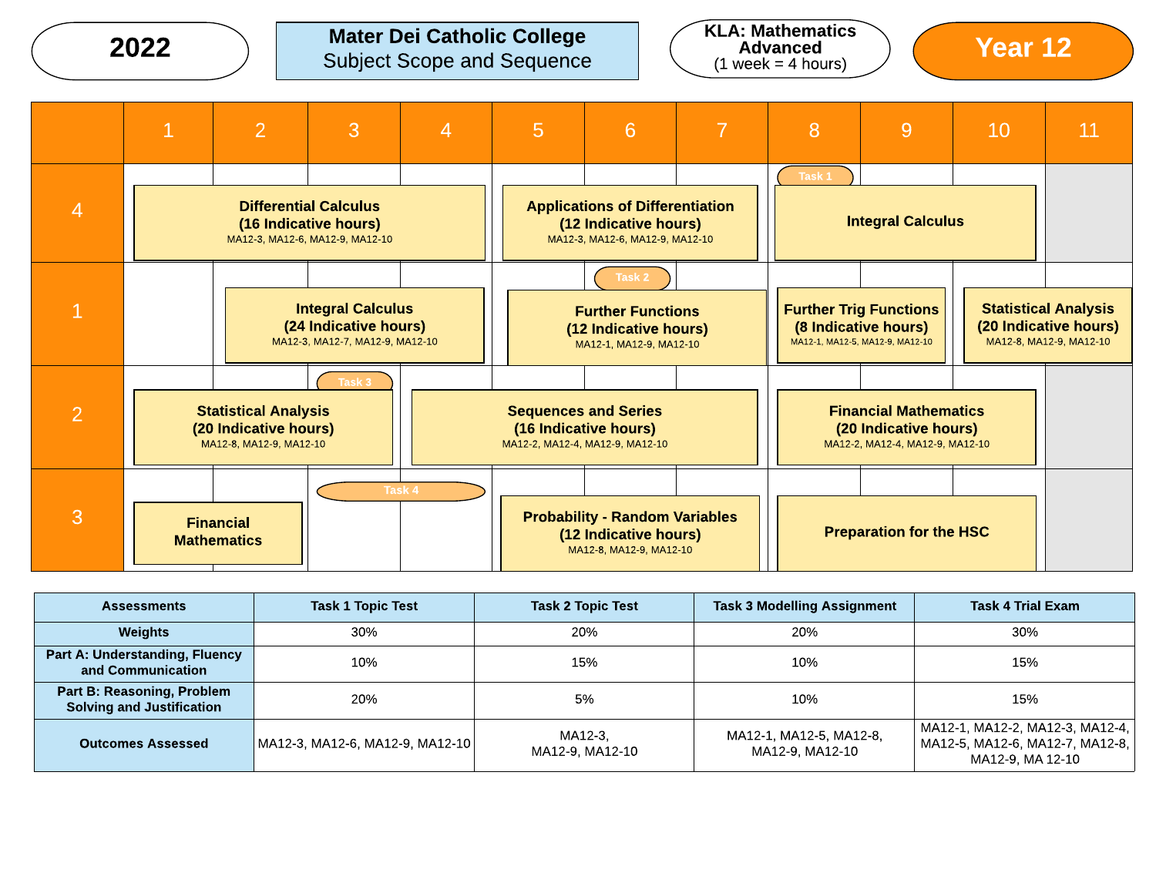# 2022  $\bigcirc$  Mater Dei Catholic College  $\bigcirc$  KLA: Mathematics  $\bigcirc$  Year 12



|                | 1 | $\overline{2}$                                                                  | 3                                                                                        | $\overline{4}$ | 5 | 6                                                                                                  | $\overline{7}$ | 8      | 9                                                                                        | 10 | 11                                                                              |
|----------------|---|---------------------------------------------------------------------------------|------------------------------------------------------------------------------------------|----------------|---|----------------------------------------------------------------------------------------------------|----------------|--------|------------------------------------------------------------------------------------------|----|---------------------------------------------------------------------------------|
| $\overline{4}$ |   |                                                                                 | <b>Differential Calculus</b><br>(16 Indicative hours)<br>MA12-3, MA12-6, MA12-9, MA12-10 |                |   | <b>Applications of Differentiation</b><br>(12 Indicative hours)<br>MA12-3, MA12-6, MA12-9, MA12-10 |                | Task 1 | <b>Integral Calculus</b>                                                                 |    |                                                                                 |
|                |   |                                                                                 | <b>Integral Calculus</b><br>(24 Indicative hours)<br>MA12-3, MA12-7, MA12-9, MA12-10     |                |   | Task 2<br><b>Further Functions</b><br>(12 Indicative hours)<br>MA12-1, MA12-9, MA12-10             |                |        | <b>Further Trig Functions</b><br>(8 Indicative hours)<br>MA12-1, MA12-5, MA12-9, MA12-10 |    | <b>Statistical Analysis</b><br>(20 Indicative hours)<br>MA12-8, MA12-9, MA12-10 |
| $\overline{2}$ |   | <b>Statistical Analysis</b><br>(20 Indicative hours)<br>MA12-8, MA12-9, MA12-10 | Task <sub>3</sub>                                                                        |                |   | <b>Sequences and Series</b><br>(16 Indicative hours)<br>MA12-2, MA12-4, MA12-9, MA12-10            |                |        | <b>Financial Mathematics</b><br>(20 Indicative hours)<br>MA12-2, MA12-4, MA12-9, MA12-10 |    |                                                                                 |
| 3              |   | <b>Financial</b><br><b>Mathematics</b>                                          |                                                                                          | Task 4         |   | <b>Probability - Random Variables</b><br>(12 Indicative hours)<br>MA12-8, MA12-9, MA12-10          |                |        | <b>Preparation for the HSC</b>                                                           |    |                                                                                 |

| <b>Assessments</b>                                             | <b>Task 1 Topic Test</b>        | <b>Task 2 Topic Test</b>   | <b>Task 3 Modelling Assignment</b>         | <b>Task 4 Trial Exam</b>                                                                   |
|----------------------------------------------------------------|---------------------------------|----------------------------|--------------------------------------------|--------------------------------------------------------------------------------------------|
| Weights                                                        | 30%                             | 20%                        | 20%                                        | 30%                                                                                        |
| <b>Part A: Understanding, Fluency</b><br>and Communication     | 10%                             | 15%                        | 10%                                        | 15%                                                                                        |
| Part B: Reasoning, Problem<br><b>Solving and Justification</b> | 20%                             | 5%                         | 10%                                        | 15%                                                                                        |
| <b>Outcomes Assessed</b>                                       | MA12-3, MA12-6, MA12-9, MA12-10 | MA12-3.<br>MA12-9, MA12-10 | MA12-1, MA12-5, MA12-8,<br>MA12-9, MA12-10 | MA12-1, MA12-2, MA12-3, MA12-4,  <br>MA12-5, MA12-6, MA12-7, MA12-8,  <br>MA12-9. MA 12-10 |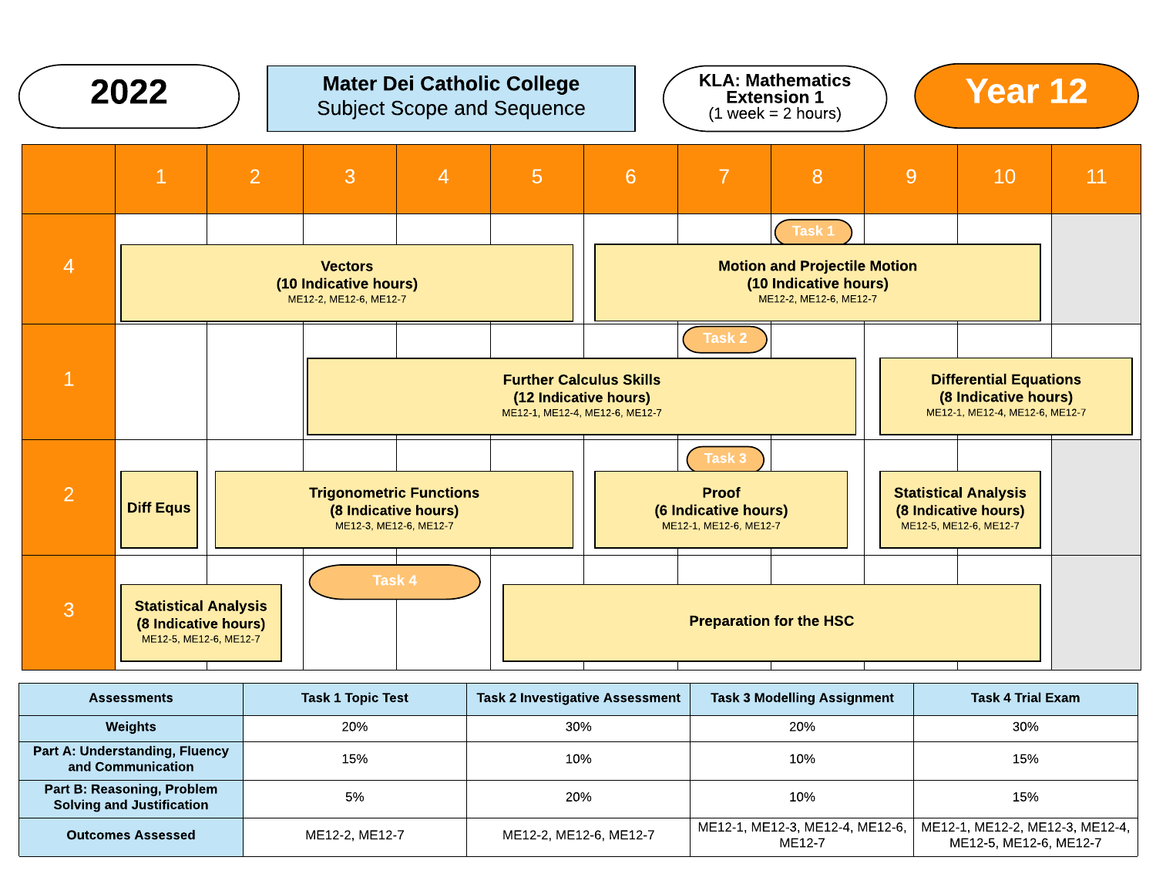

| <b>Assessments</b>                                                    | <b>Task 1 Topic Test</b> | <b>Task 2 Investigative Assessment</b> | <b>Task 3 Modelling Assignment</b>        | Task 4 Trial Exam                                         |
|-----------------------------------------------------------------------|--------------------------|----------------------------------------|-------------------------------------------|-----------------------------------------------------------|
| Weights                                                               | 20%                      | 30%                                    | 20%                                       | 30%                                                       |
| <b>Part A: Understanding, Fluency</b><br>and Communication            | 15%                      | 10%                                    | 10%                                       | 15%                                                       |
| <b>Part B: Reasoning, Problem</b><br><b>Solving and Justification</b> | 5%                       | 20%                                    | 10%                                       | 15%                                                       |
| <b>Outcomes Assessed</b>                                              | ME12-2, ME12-7           | ME12-2, ME12-6, ME12-7                 | ME12-1, ME12-3, ME12-4, ME12-6,<br>ME12-7 | ME12-1, ME12-2, ME12-3, ME12-4,<br>ME12-5, ME12-6, ME12-7 |